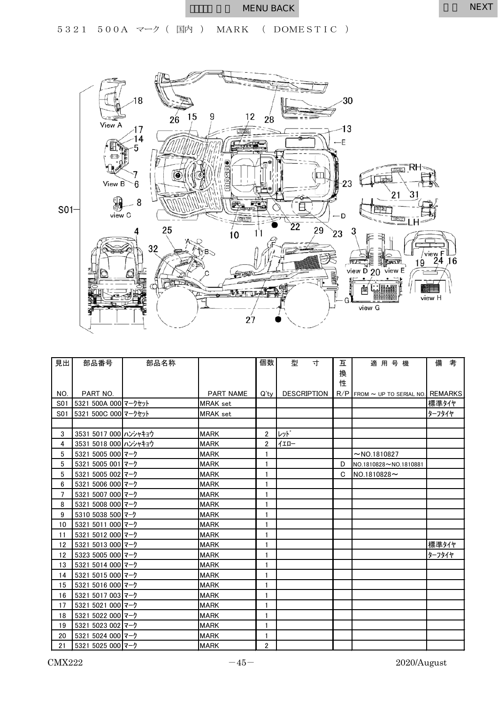## WENU BACK NEXT



| 見出  | 部品番号                  | 部品名称 |                  | 個数             | 型                  | 寸 | 互 | 適用号機                                       | 備      | 考 |
|-----|-----------------------|------|------------------|----------------|--------------------|---|---|--------------------------------------------|--------|---|
|     |                       |      |                  |                |                    |   | 換 |                                            |        |   |
|     |                       |      |                  |                |                    |   | 性 |                                            |        |   |
| NO. | PART NO.              |      | <b>PART NAME</b> | $Q'$ ty        | <b>DESCRIPTION</b> |   |   | $R/P$ From $\sim$ UP to serial no. REMARKS |        |   |
| S01 | 5321 500A 000 マークセット  |      | MRAK set         |                |                    |   |   |                                            | 標準タイヤ  |   |
| S01 | 5321 500C 000 マークセット  |      | <b>MRAK</b> set  |                |                    |   |   |                                            | ターフタイヤ |   |
|     |                       |      |                  |                |                    |   |   |                                            |        |   |
| 3   | 3531 5017 000 ハンシャキョウ |      | <b>MARK</b>      | $\overline{2}$ | レット゛               |   |   |                                            |        |   |
| 4   | 3531 5018 000 ハンシャキョウ |      | <b>MARK</b>      | 2              | イエロー               |   |   |                                            |        |   |
| 5   | 5321 5005 000 マーク     |      | <b>MARK</b>      | $\mathbf{1}$   |                    |   |   | $~\sim$ NO.1810827                         |        |   |
| 5   | 5321 5005 001 マーク     |      | <b>MARK</b>      |                |                    |   | D | NO.1810828~NO.1810881                      |        |   |
| 5   | 5321 5005 002 マーク     |      | <b>MARK</b>      |                |                    |   | C | $NO.1810828 \sim$                          |        |   |
| 6   | 5321 5006 000 マーク     |      | <b>MARK</b>      | 1              |                    |   |   |                                            |        |   |
| 7   | 5321 5007 000 マーク     |      | <b>MARK</b>      |                |                    |   |   |                                            |        |   |
| 8   | 5321 5008 000 マーク     |      | <b>MARK</b>      |                |                    |   |   |                                            |        |   |
| 9   | 5310 5038 500 マーク     |      | <b>MARK</b>      | $\mathbf{1}$   |                    |   |   |                                            |        |   |
| 10  | 5321 5011 000 マーク     |      | <b>MARK</b>      | 1              |                    |   |   |                                            |        |   |
| 11  | 5321 5012 000 マーク     |      | <b>MARK</b>      |                |                    |   |   |                                            |        |   |
| 12  | 5321 5013 000 マーク     |      | <b>MARK</b>      |                |                    |   |   |                                            | 標準タイヤ  |   |
| 12  | 5323 5005 000 マーク     |      | <b>MARK</b>      | 1              |                    |   |   |                                            | ターフタイヤ |   |
| 13  | 5321 5014 000 マーク     |      | <b>MARK</b>      |                |                    |   |   |                                            |        |   |
| 14  | 5321 5015 000 マーク     |      | <b>MARK</b>      | 1              |                    |   |   |                                            |        |   |
| 15  | 5321 5016 000 マーク     |      | <b>MARK</b>      |                |                    |   |   |                                            |        |   |
| 16  | 5321 5017 003 マーク     |      | <b>MARK</b>      | 1              |                    |   |   |                                            |        |   |
| 17  | 5321 5021 000 マーク     |      | <b>MARK</b>      |                |                    |   |   |                                            |        |   |
| 18  | 5321 5022 000 マーク     |      | <b>MARK</b>      |                |                    |   |   |                                            |        |   |
| 19  | 5321 5023 002 マーク     |      | <b>MARK</b>      | $\mathbf{1}$   |                    |   |   |                                            |        |   |
| 20  | 5321 5024 000 マーク     |      | <b>MARK</b>      |                |                    |   |   |                                            |        |   |
| 21  | 5321 5025 000 マーク     |      | <b>MARK</b>      | $\overline{2}$ |                    |   |   |                                            |        |   |

 $\text{CMX222}$   $-45-$  2020/August